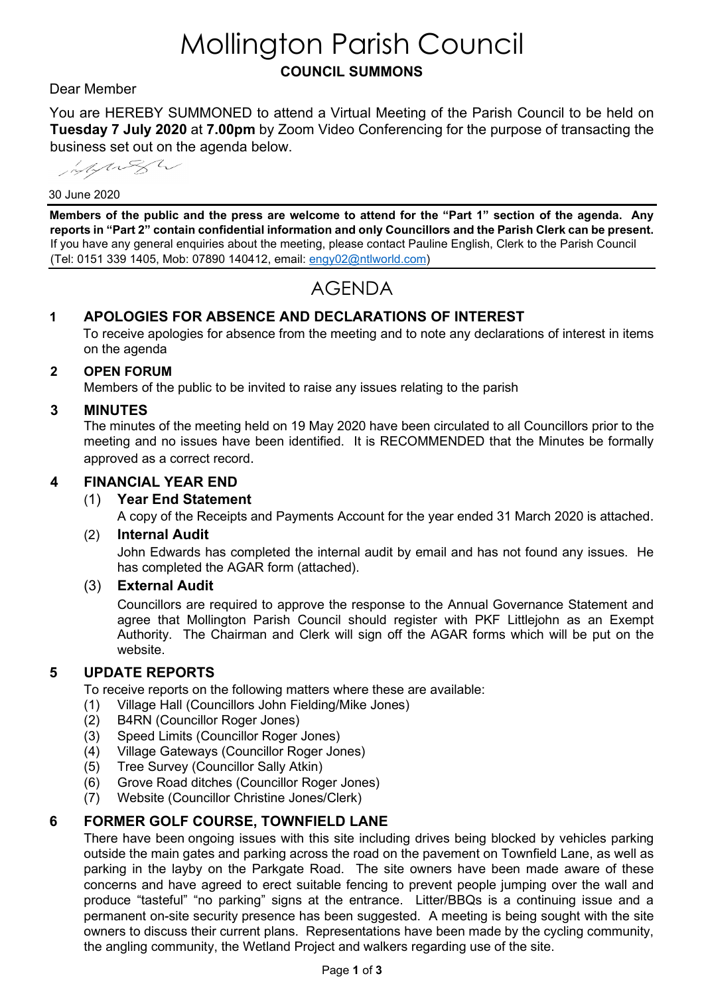# Mollington Parish Council **COUNCIL SUMMONS**

# Dear Member

You are HEREBY SUMMONED to attend a Virtual Meeting of the Parish Council to be held on **Tuesday 7 July 2020** at **7.00pm** by Zoom Video Conferencing for the purpose of transacting the business set out on the agenda below.

Mylinger

#### 30 June 2020

**Members of the public and the press are welcome to attend for the "Part 1" section of the agenda. Any reports in "Part 2" contain confidential information and only Councillors and the Parish Clerk can be present.**  If you have any general enquiries about the meeting, please contact Pauline English, Clerk to the Parish Council (Tel: 0151 339 1405, Mob: 07890 140412, email: [engy02@ntlworld.com\)](mailto:engy02@ntlworld.com)

# AGENDA

# **1 APOLOGIES FOR ABSENCE AND DECLARATIONS OF INTEREST**

To receive apologies for absence from the meeting and to note any declarations of interest in items on the agenda

#### **2 OPEN FORUM**

Members of the public to be invited to raise any issues relating to the parish

#### **3 MINUTES**

The minutes of the meeting held on 19 May 2020 have been circulated to all Councillors prior to the meeting and no issues have been identified. It is RECOMMENDED that the Minutes be formally approved as a correct record.

#### **4 FINANCIAL YEAR END**

#### (1) **Year End Statement**

A copy of the Receipts and Payments Account for the year ended 31 March 2020 is attached.

#### (2) **Internal Audit**

John Edwards has completed the internal audit by email and has not found any issues. He has completed the AGAR form (attached).

#### (3) **External Audit**

Councillors are required to approve the response to the Annual Governance Statement and agree that Mollington Parish Council should register with PKF Littlejohn as an Exempt Authority. The Chairman and Clerk will sign off the AGAR forms which will be put on the website.

#### **5 UPDATE REPORTS**

To receive reports on the following matters where these are available:

- (1) Village Hall (Councillors John Fielding/Mike Jones)
- (2) B4RN (Councillor Roger Jones)
- (3) Speed Limits (Councillor Roger Jones)
- (4) Village Gateways (Councillor Roger Jones)
- (5) Tree Survey (Councillor Sally Atkin)
- (6) Grove Road ditches (Councillor Roger Jones)
- (7) Website (Councillor Christine Jones/Clerk)

#### **6 FORMER GOLF COURSE, TOWNFIELD LANE**

There have been ongoing issues with this site including drives being blocked by vehicles parking outside the main gates and parking across the road on the pavement on Townfield Lane, as well as parking in the layby on the Parkgate Road. The site owners have been made aware of these concerns and have agreed to erect suitable fencing to prevent people jumping over the wall and produce "tasteful" "no parking" signs at the entrance. Litter/BBQs is a continuing issue and a permanent on-site security presence has been suggested. A meeting is being sought with the site owners to discuss their current plans. Representations have been made by the cycling community, the angling community, the Wetland Project and walkers regarding use of the site.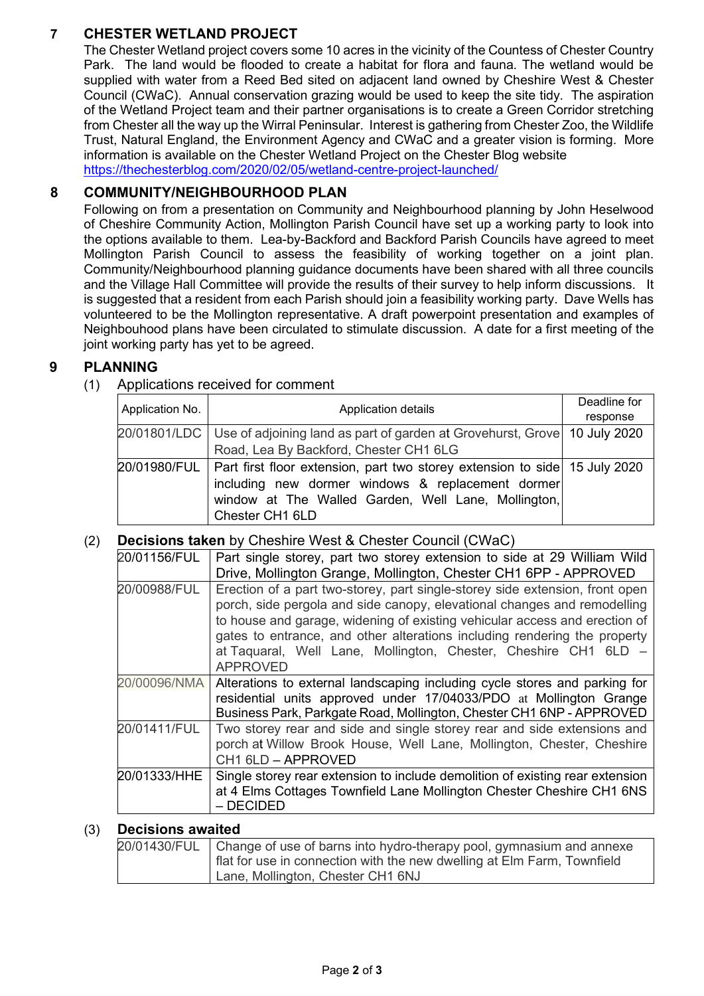# **7 CHESTER WETLAND PROJECT**

The Chester Wetland project covers some 10 acres in the vicinity of the Countess of Chester Country Park. The land would be flooded to create a habitat for flora and fauna. The wetland would be supplied with water from a Reed Bed sited on adjacent land owned by Cheshire West & Chester Council (CWaC). Annual conservation grazing would be used to keep the site tidy. The aspiration of the Wetland Project team and their partner organisations is to create a Green Corridor stretching from Chester all the way up the Wirral Peninsular. Interest is gathering from Chester Zoo, the Wildlife Trust, Natural England, the Environment Agency and CWaC and a greater vision is forming. More information is available on the Chester Wetland Project on the Chester Blog website <https://thechesterblog.com/2020/02/05/wetland-centre-project-launched/>

# **8 COMMUNITY/NEIGHBOURHOOD PLAN**

Following on from a presentation on Community and Neighbourhood planning by John Heselwood of Cheshire Community Action, Mollington Parish Council have set up a working party to look into the options available to them. Lea-by-Backford and Backford Parish Councils have agreed to meet Mollington Parish Council to assess the feasibility of working together on a joint plan. Community/Neighbourhood planning guidance documents have been shared with all three councils and the Village Hall Committee will provide the results of their survey to help inform discussions. It is suggested that a resident from each Parish should join a feasibility working party. Dave Wells has volunteered to be the Mollington representative. A draft powerpoint presentation and examples of Neighbouhood plans have been circulated to stimulate discussion. A date for a first meeting of the joint working party has yet to be agreed.

# **9 PLANNING**

(1) Applications received for comment

| Application No. | Application details                                                                                                                                                                                                      | Deadline for |
|-----------------|--------------------------------------------------------------------------------------------------------------------------------------------------------------------------------------------------------------------------|--------------|
|                 |                                                                                                                                                                                                                          | response     |
|                 | 20/01801/LDC   Use of adjoining land as part of garden at Grovehurst, Grove   10 July 2020                                                                                                                               |              |
|                 | Road, Lea By Backford, Chester CH1 6LG                                                                                                                                                                                   |              |
|                 | 20/01980/FUL   Part first floor extension, part two storey extension to side 15 July 2020<br>including new dormer windows & replacement dormer<br>window at The Walled Garden, Well Lane, Mollington,<br>Chester CH1 6LD |              |

(2) **Decisions taken** by Cheshire West & Chester Council (CWaC)

| 20/01156/FUL | Part single storey, part two storey extension to side at 29 William Wild<br>Drive, Mollington Grange, Mollington, Chester CH1 6PP - APPROVED                                                                                                                                                                                                                                                              |
|--------------|-----------------------------------------------------------------------------------------------------------------------------------------------------------------------------------------------------------------------------------------------------------------------------------------------------------------------------------------------------------------------------------------------------------|
| 20/00988/FUL | Erection of a part two-storey, part single-storey side extension, front open<br>porch, side pergola and side canopy, elevational changes and remodelling<br>to house and garage, widening of existing vehicular access and erection of<br>gates to entrance, and other alterations including rendering the property<br>at Taquaral, Well Lane, Mollington, Chester, Cheshire CH1 6LD -<br><b>APPROVED</b> |
| 20/00096/NMA | Alterations to external landscaping including cycle stores and parking for<br>residential units approved under 17/04033/PDO at Mollington Grange<br>Business Park, Parkgate Road, Mollington, Chester CH1 6NP - APPROVED                                                                                                                                                                                  |
| 20/01411/FUL | Two storey rear and side and single storey rear and side extensions and<br>porch at Willow Brook House, Well Lane, Mollington, Chester, Cheshire<br>CH1 6LD - APPROVED                                                                                                                                                                                                                                    |
| 20/01333/HHE | Single storey rear extension to include demolition of existing rear extension<br>at 4 Elms Cottages Townfield Lane Mollington Chester Cheshire CH1 6NS<br>$-$ DECIDED                                                                                                                                                                                                                                     |

# (3) **Decisions awaited**

| 20/01430/FUL   Change of use of barns into hydro-therapy pool, gymnasium and annexe<br>flat for use in connection with the new dwelling at Elm Farm, Townfield |
|----------------------------------------------------------------------------------------------------------------------------------------------------------------|
| Lane, Mollington, Chester CH1 6NJ                                                                                                                              |